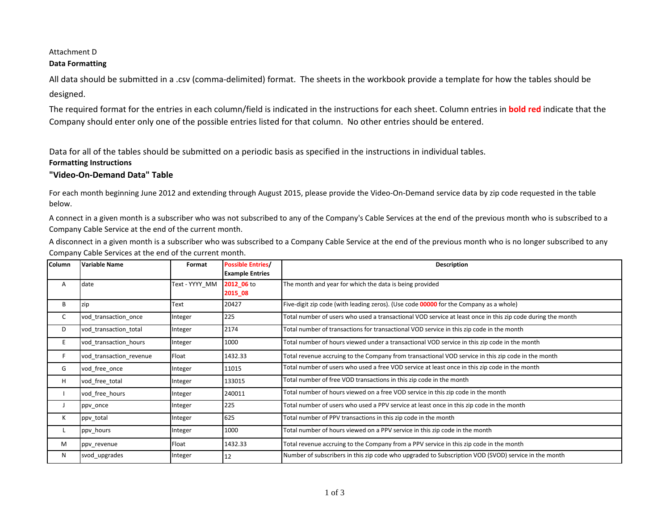# Attachment D

### **Data Formatting**

All data should be submitted in a .csv (comma-delimited) format. The sheets in the workbook provide a template for how the tables should be designed.

The required format for the entries in each column/field is indicated in the instructions for each sheet. Column entries in **bold red** indicate that the Company should enter only one of the possible entries listed for that column. No other entries should be entered.

Data for all of the tables should be submitted on a periodic basis as specified in the instructions in individual tables.

### **Formatting Instructions**

## **"Video-On-Demand Data" Table**

For each month beginning June 2012 and extending through August 2015, please provide the Video-On-Demand service data by zip code requested in the table below.

A connect in a given month is a subscriber who was not subscribed to any of the Company's Cable Services at the end of the previous month who is subscribed to a Company Cable Service at the end of the current month.

A disconnect in a given month is a subscriber who was subscribed to a Company Cable Service at the end of the previous month who is no longer subscribed to any Company Cable Services at the end of the current month.

| Column | Variable Name           | Format         | <b>Possible Entries/</b><br><b>Example Entries</b> | <b>Description</b>                                                                                         |  |  |  |  |  |  |  |
|--------|-------------------------|----------------|----------------------------------------------------|------------------------------------------------------------------------------------------------------------|--|--|--|--|--|--|--|
| Α      | date                    | Text - YYYY MM | 2012 06 to<br>2015_08                              | The month and year for which the data is being provided                                                    |  |  |  |  |  |  |  |
| В      | zip                     | Text           | 20427                                              | Five-digit zip code (with leading zeros). (Use code 00000 for the Company as a whole)                      |  |  |  |  |  |  |  |
| C      | vod_transaction_once    | Integer        | 225                                                | Total number of users who used a transactional VOD service at least once in this zip code during the month |  |  |  |  |  |  |  |
| D      | vod_transaction_total   | Integer        | 2174                                               | Total number of transactions for transactional VOD service in this zip code in the month                   |  |  |  |  |  |  |  |
| E      | vod transaction hours   | Integer        | 1000                                               | Total number of hours viewed under a transactional VOD service in this zip code in the month               |  |  |  |  |  |  |  |
| F.     | vod_transaction_revenue | Float          | 1432.33                                            | Total revenue accruing to the Company from transactional VOD service in this zip code in the month         |  |  |  |  |  |  |  |
| G      | vod_free_once           | Integer        | 11015                                              | Total number of users who used a free VOD service at least once in this zip code in the month              |  |  |  |  |  |  |  |
| н      | vod free total          | Integer        | 133015                                             | Total number of free VOD transactions in this zip code in the month                                        |  |  |  |  |  |  |  |
|        | vod free hours          | Integer        | 240011                                             | Total number of hours viewed on a free VOD service in this zip code in the month                           |  |  |  |  |  |  |  |
| J      | ppv_once                | Integer        | 225                                                | Total number of users who used a PPV service at least once in this zip code in the month                   |  |  |  |  |  |  |  |
| К      | ppv_total               | Integer        | 625                                                | Total number of PPV transactions in this zip code in the month                                             |  |  |  |  |  |  |  |
|        | ppv_hours               | Integer        | 1000                                               | Total number of hours viewed on a PPV service in this zip code in the month                                |  |  |  |  |  |  |  |
| М      | ppv_revenue             | Float          | 1432.33                                            | Total revenue accruing to the Company from a PPV service in this zip code in the month                     |  |  |  |  |  |  |  |
| N      | svod_upgrades           | Integer        | 12                                                 | Number of subscribers in this zip code who upgraded to Subscription VOD (SVOD) service in the month        |  |  |  |  |  |  |  |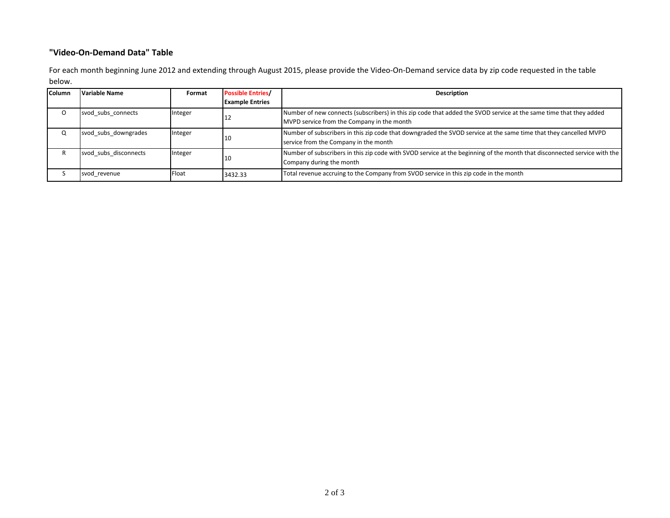# **"Video-On-Demand Data" Table**

For each month beginning June 2012 and extending through August 2015, please provide the Video-On-Demand service data by zip code requested in the table below.

| <b>Column</b> | <b>Variable Name</b>  | Format  | <b>Possible Entries/</b> | Description                                                                                                                                                      |
|---------------|-----------------------|---------|--------------------------|------------------------------------------------------------------------------------------------------------------------------------------------------------------|
|               |                       |         | <b>Example Entries</b>   |                                                                                                                                                                  |
| $\circ$       | svod subs connects    | Integer |                          | Number of new connects (subscribers) in this zip code that added the SVOD service at the same time that they added<br>MVPD service from the Company in the month |
| Q             | svod subs downgrades  | Integer | 10                       | Number of subscribers in this zip code that downgraded the SVOD service at the same time that they cancelled MVPD<br>service from the Company in the month       |
| R             | svod subs disconnects | Integer | 10                       | Number of subscribers in this zip code with SVOD service at the beginning of the month that disconnected service with the<br>Company during the month            |
|               | svod revenue          | Float   | 3432.33                  | Total revenue accruing to the Company from SVOD service in this zip code in the month                                                                            |